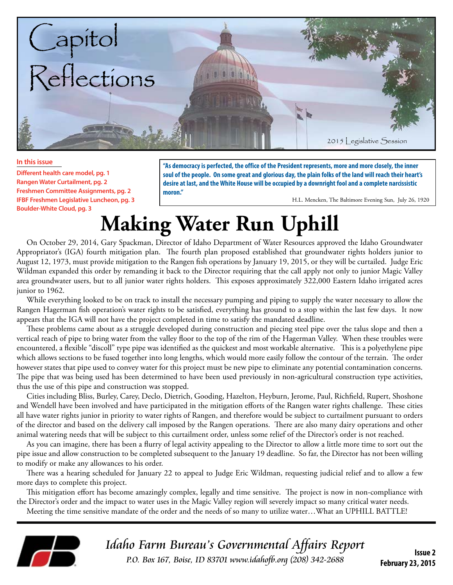

#### **In this issue**

**Different health care model, pg. 1 Rangen Water Curtailment, pg. 2 Freshmen Committee Assignments, pg. 2 IFBF Freshmen Legislative Luncheon, pg. 3 Boulder-White Cloud, pg. 3**

**"As democracy is perfected, the office of the President represents, more and more closely, the inner soul of the people. On some great and glorious day, the plain folks of the land will reach their heart's desire at last, and the White House will be occupied by a downright fool and a complete narcissistic moron."**

H.L. Mencken, The Baltimore Evening Sun, July 26, 1920

# **Making Water Run Uphill**

On October 29, 2014, Gary Spackman, Director of Idaho Department of Water Resources approved the Idaho Groundwater Appropriator's (IGA) fourth mitigation plan. The fourth plan proposed established that groundwater rights holders junior to August 12, 1973, must provide mitigation to the Rangen fish operations by January 19, 2015, or they will be curtailed. Judge Eric Wildman expanded this order by remanding it back to the Director requiring that the call apply not only to junior Magic Valley area groundwater users, but to all junior water rights holders. This exposes approximately 322,000 Eastern Idaho irrigated acres junior to 1962.

While everything looked to be on track to install the necessary pumping and piping to supply the water necessary to allow the Rangen Hagerman fish operation's water rights to be satisfied, everything has ground to a stop within the last few days. It now appears that the IGA will not have the project completed in time to satisfy the mandated deadline.

These problems came about as a struggle developed during construction and piecing steel pipe over the talus slope and then a vertical reach of pipe to bring water from the valley floor to the top of the rim of the Hagerman Valley. When these troubles were encountered, a flexible "discoll" type pipe was identified as the quickest and most workable alternative. This is a polyethylene pipe which allows sections to be fused together into long lengths, which would more easily follow the contour of the terrain. The order however states that pipe used to convey water for this project must be new pipe to eliminate any potential contamination concerns. The pipe that was being used has been determined to have been used previously in non-agricultural construction type activities, thus the use of this pipe and construction was stopped.

Cities including Bliss, Burley, Carey, Declo, Dietrich, Gooding, Hazelton, Heyburn, Jerome, Paul, Richfield, Rupert, Shoshone and Wendell have been involved and have participated in the mitigation efforts of the Rangen water rights challenge. These cities all have water rights junior in priority to water rights of Rangen, and therefore would be subject to curtailment pursuant to orders of the director and based on the delivery call imposed by the Rangen operations. There are also many dairy operations and other animal watering needs that will be subject to this curtailment order, unless some relief of the Director's order is not reached.

As you can imagine, there has been a flurry of legal activity appealing to the Director to allow a little more time to sort out the pipe issue and allow construction to be completed subsequent to the January 19 deadline. So far, the Director has not been willing to modify or make any allowances to his order.

There was a hearing scheduled for January 22 to appeal to Judge Eric Wildman, requesting judicial relief and to allow a few more days to complete this project.

This mitigation effort has become amazingly complex, legally and time sensitive. The project is now in non-compliance with the Director's order and the impact to water uses in the Magic Valley region will severely impact so many critical water needs.

Meeting the time sensitive mandate of the order and the needs of so many to utilize water…What an UPHILL BATTLE!



Idaho Farm Bureau's Governmental Affairs Report P.O. Box 167, Boise, ID 83701 www.idahofb.org (208) 342-2688 **Issue 2**

**February 23, 2015**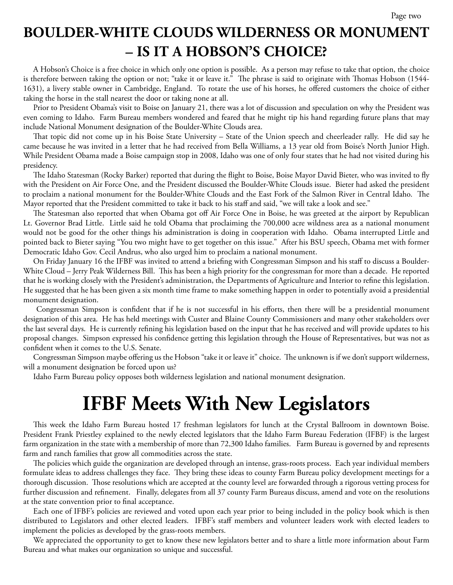#### **BOULDER-WHITE CLOUDS WILDERNESS OR MONUMENT – IS IT A HOBSON'S CHOICE?**

A Hobson's Choice is a free choice in which only one option is possible. As a person may refuse to take that option, the choice is therefore between taking the option or not; "take it or leave it." The phrase is said to originate with Thomas Hobson (1544- 1631), a livery stable owner in Cambridge, England. To rotate the use of his horses, he offered customers the choice of either taking the horse in the stall nearest the door or taking none at all.

Prior to President Obama's visit to Boise on January 21, there was a lot of discussion and speculation on why the President was even coming to Idaho. Farm Bureau members wondered and feared that he might tip his hand regarding future plans that may include National Monument designation of the Boulder-White Clouds area.

That topic did not come up in his Boise State University – State of the Union speech and cheerleader rally. He did say he came because he was invited in a letter that he had received from Bella Williams, a 13 year old from Boise's North Junior High. While President Obama made a Boise campaign stop in 2008, Idaho was one of only four states that he had not visited during his presidency.

The Idaho Statesman (Rocky Barker) reported that during the flight to Boise, Boise Mayor David Bieter, who was invited to fly with the President on Air Force One, and the President discussed the Boulder-White Clouds issue. Bieter had asked the president to proclaim a national monument for the Boulder-White Clouds and the East Fork of the Salmon River in Central Idaho. The Mayor reported that the President committed to take it back to his staff and said, "we will take a look and see."

The Statesman also reported that when Obama got off Air Force One in Boise, he was greeted at the airport by Republican Lt. Governor Brad Little. Little said he told Obama that proclaiming the 700,000 acre wildness area as a national monument would not be good for the other things his administration is doing in cooperation with Idaho. Obama interrupted Little and pointed back to Bieter saying "You two might have to get together on this issue." After his BSU speech, Obama met with former Democratic Idaho Gov. Cecil Andrus, who also urged him to proclaim a national monument.

On Friday January 16 the IFBF was invited to attend a briefing with Congressman Simpson and his staff to discuss a Boulder-White Cloud – Jerry Peak Wilderness Bill. This has been a high priority for the congressman for more than a decade. He reported that he is working closely with the President's administration, the Departments of Agriculture and Interior to refine this legislation. He suggested that he has been given a six month time frame to make something happen in order to potentially avoid a presidential monument designation.

 Congressman Simpson is confident that if he is not successful in his efforts, then there will be a presidential monument designation of this area. He has held meetings with Custer and Blaine County Commissioners and many other stakeholders over the last several days. He is currently refining his legislation based on the input that he has received and will provide updates to his proposal changes. Simpson expressed his confidence getting this legislation through the House of Representatives, but was not as confident when it comes to the U.S. Senate.

Congressman Simpson maybe offering us the Hobson "take it or leave it" choice. The unknown is if we don't support wilderness, will a monument designation be forced upon us?

Idaho Farm Bureau policy opposes both wilderness legislation and national monument designation.

## **IFBF Meets With New Legislators**

This week the Idaho Farm Bureau hosted 17 freshman legislators for lunch at the Crystal Ballroom in downtown Boise. President Frank Priestley explained to the newly elected legislators that the Idaho Farm Bureau Federation (IFBF) is the largest farm organization in the state with a membership of more than 72,300 Idaho families. Farm Bureau is governed by and represents farm and ranch families that grow all commodities across the state.

The policies which guide the organization are developed through an intense, grass-roots process. Each year individual members formulate ideas to address challenges they face. They bring these ideas to county Farm Bureau policy development meetings for a thorough discussion. Those resolutions which are accepted at the county level are forwarded through a rigorous vetting process for further discussion and refinement. Finally, delegates from all 37 county Farm Bureaus discuss, amend and vote on the resolutions at the state convention prior to final acceptance.

Each one of IFBF's policies are reviewed and voted upon each year prior to being included in the policy book which is then distributed to Legislators and other elected leaders. IFBF's staff members and volunteer leaders work with elected leaders to implement the policies as developed by the grass-roots members.

We appreciated the opportunity to get to know these new legislators better and to share a little more information about Farm Bureau and what makes our organization so unique and successful.